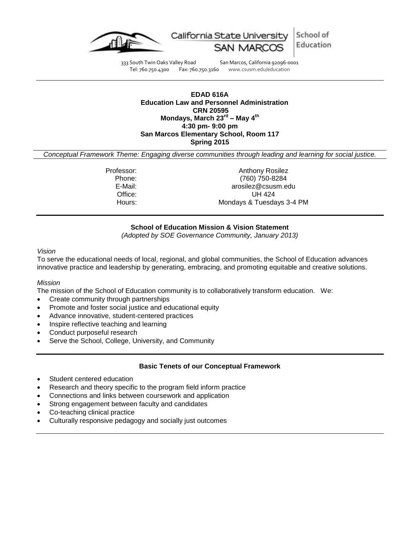

School of California State University Education

333 South Twin Oaks Valley Road San Marcos, California 92096-0001<br>Tel: 760.750.4300 Fax: 760.750.3160 www.csusm.edu/education www.csusm.edu/education

#### **EDAD 616A Education Law and Personnel Administration CRN 20595 Mondays, March 23rd – May 4 th 4:30 pm- 9:00 pm San Marcos Elementary School, Room 117 Spring 2015**

*Conceptual Framework Theme: Engaging diverse communities through leading and learning for social justice.*

Professor: Anthony Rosilez Phone: (760) 750-8284 E-Mail: arosilez@csusm.edu Office: UH 424 Hours: Mondays & Tuesdays 3-4 PM

# **School of Education Mission & Vision Statement**

*(Adopted by SOE Governance Community, January 2013)*

#### *Vision*

To serve the educational needs of local, regional, and global communities, the School of Education advances innovative practice and leadership by generating, embracing, and promoting equitable and creative solutions.

#### *Mission*

The mission of the School of Education community is to collaboratively transform education. We:

- Create community through partnerships
- Promote and foster social justice and educational equity
- Advance innovative, student-centered practices
- Inspire reflective teaching and learning
- Conduct purposeful research
- Serve the School, College, University, and Community

### **Basic Tenets of our Conceptual Framework**

- Student centered education
- Research and theory specific to the program field inform practice
- Connections and links between coursework and application
- Strong engagement between faculty and candidates
- Co-teaching clinical practice
- Culturally responsive pedagogy and socially just outcomes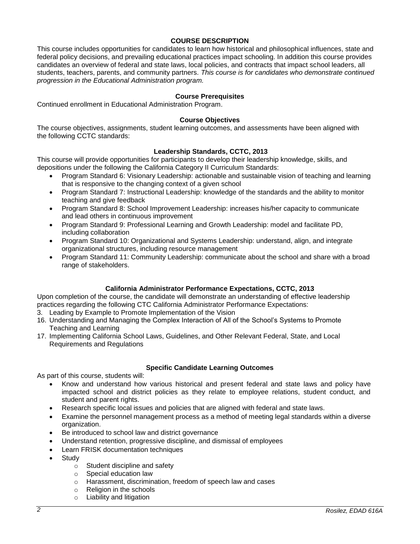# **COURSE DESCRIPTION**

This course includes opportunities for candidates to learn how historical and philosophical influences, state and federal policy decisions, and prevailing educational practices impact schooling. In addition this course provides candidates an overview of federal and state laws, local policies, and contracts that impact school leaders, all students, teachers, parents, and community partners. *This course is for candidates who demonstrate continued progression in the Educational Administration program.*

# **Course Prerequisites**

Continued enrollment in Educational Administration Program.

### **Course Objectives**

The course objectives, assignments, student learning outcomes, and assessments have been aligned with the following CCTC standards:

# **Leadership Standards, CCTC, 2013**

This course will provide opportunities for participants to develop their leadership knowledge, skills, and depositions under the following the California Category II Curriculum Standards:

- Program Standard 6: Visionary Leadership: actionable and sustainable vision of teaching and learning that is responsive to the changing context of a given school
- Program Standard 7: Instructional Leadership: knowledge of the standards and the ability to monitor teaching and give feedback
- Program Standard 8: School Improvement Leadership: increases his/her capacity to communicate and lead others in continuous improvement
- Program Standard 9: Professional Learning and Growth Leadership: model and facilitate PD, including collaboration
- Program Standard 10: Organizational and Systems Leadership: understand, align, and integrate organizational structures, including resource management
- Program Standard 11: Community Leadership: communicate about the school and share with a broad range of stakeholders.

### **California Administrator Performance Expectations, CCTC, 2013**

Upon completion of the course, the candidate will demonstrate an understanding of effective leadership practices regarding the following CTC California Administrator Performance Expectations:

- 3. Leading by Example to Promote Implementation of the Vision
- 16. Understanding and Managing the Complex Interaction of All of the School's Systems to Promote Teaching and Learning
- 17. Implementing California School Laws, Guidelines, and Other Relevant Federal, State, and Local Requirements and Regulations

### **Specific Candidate Learning Outcomes**

As part of this course, students will:

- Know and understand how various historical and present federal and state laws and policy have impacted school and district policies as they relate to employee relations, student conduct, and student and parent rights.
- Research specific local issues and policies that are aligned with federal and state laws.
- Examine the personnel management process as a method of meeting legal standards within a diverse organization.
- Be introduced to school law and district governance
- Understand retention, progressive discipline, and dismissal of employees
- Learn FRISK documentation techniques
- Study
	- o Student discipline and safety
	- o Special education law
	- o Harassment, discrimination, freedom of speech law and cases
	- o Religion in the schools
	- o Liability and litigation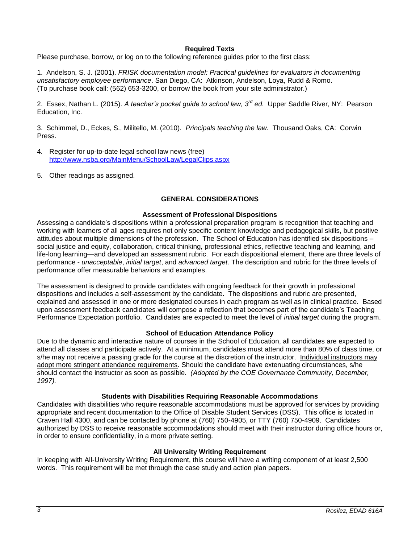# **Required Texts**

Please purchase, borrow, or log on to the following reference guides prior to the first class:

1. Andelson, S. J. (2001). *FRISK documentation model: Practical guidelines for evaluators in documenting unsatisfactory employee performance*. San Diego, CA: Atkinson, Andelson, Loya, Rudd & Romo. (To purchase book call: (562) 653-3200, or borrow the book from your site administrator.)

2. Essex, Nathan L. (2015). *A teacher's pocket guide to school law, 3 rd ed.* Upper Saddle River, NY: Pearson Education, Inc.

3. Schimmel, D., Eckes, S., Militello, M. (2010). *Principals teaching the law.* Thousand Oaks, CA: Corwin Press.

- 4. Register for up-to-date legal school law news (free) <http://www.nsba.org/MainMenu/SchoolLaw/LegalClips.aspx>
- 5. Other readings as assigned.

# **GENERAL CONSIDERATIONS**

#### **Assessment of Professional Dispositions**

Assessing a candidate's dispositions within a professional preparation program is recognition that teaching and working with learners of all ages requires not only specific content knowledge and pedagogical skills, but positive attitudes about multiple dimensions of the profession. The School of Education has identified six dispositions – social justice and equity, collaboration, critical thinking, professional ethics, reflective teaching and learning, and life-long learning—and developed an assessment rubric. For each dispositional element, there are three levels of performance - *unacceptable*, *initial target*, and *advanced target*. The description and rubric for the three levels of performance offer measurable behaviors and examples.

The assessment is designed to provide candidates with ongoing feedback for their growth in professional dispositions and includes a self-assessment by the candidate. The dispositions and rubric are presented, explained and assessed in one or more designated courses in each program as well as in clinical practice. Based upon assessment feedback candidates will compose a reflection that becomes part of the candidate's Teaching Performance Expectation portfolio. Candidates are expected to meet the level of *initial target* during the program.

### **School of Education Attendance Policy**

Due to the dynamic and interactive nature of courses in the School of Education, all candidates are expected to attend all classes and participate actively. At a minimum, candidates must attend more than 80% of class time, or s/he may not receive a passing grade for the course at the discretion of the instructor. Individual instructors may adopt more stringent attendance requirements. Should the candidate have extenuating circumstances, s/he should contact the instructor as soon as possible. *(Adopted by the COE Governance Community, December, 1997).*

### **Students with Disabilities Requiring Reasonable Accommodations**

Candidates with disabilities who require reasonable accommodations must be approved for services by providing appropriate and recent documentation to the Office of Disable Student Services (DSS). This office is located in Craven Hall 4300, and can be contacted by phone at (760) 750-4905, or TTY (760) 750-4909. Candidates authorized by DSS to receive reasonable accommodations should meet with their instructor during office hours or, in order to ensure confidentiality, in a more private setting.

### **All University Writing Requirement**

In keeping with All-University Writing Requirement, this course will have a writing component of at least 2,500 words. This requirement will be met through the case study and action plan papers.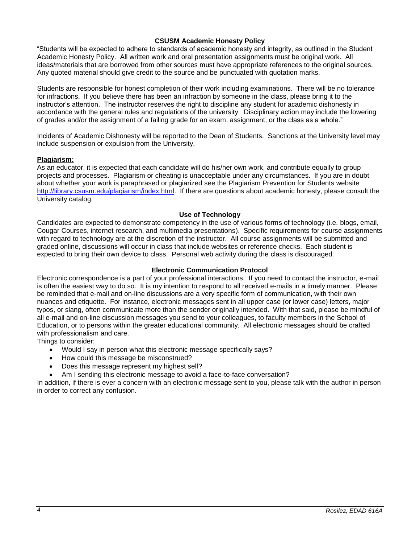### **CSUSM Academic Honesty Policy**

"Students will be expected to adhere to standards of academic honesty and integrity, as outlined in the Student Academic Honesty Policy. All written work and oral presentation assignments must be original work. All ideas/materials that are borrowed from other sources must have appropriate references to the original sources. Any quoted material should give credit to the source and be punctuated with quotation marks.

Students are responsible for honest completion of their work including examinations. There will be no tolerance for infractions. If you believe there has been an infraction by someone in the class, please bring it to the instructor's attention. The instructor reserves the right to discipline any student for academic dishonesty in accordance with the general rules and regulations of the university. Disciplinary action may include the lowering of grades and/or the assignment of a failing grade for an exam, assignment, or the class as a whole."

Incidents of Academic Dishonesty will be reported to the Dean of Students. Sanctions at the University level may include suspension or expulsion from the University.

### **Plagiarism:**

As an educator, it is expected that each candidate will do his/her own work, and contribute equally to group projects and processes. Plagiarism or cheating is unacceptable under any circumstances. If you are in doubt about whether your work is paraphrased or plagiarized see the Plagiarism Prevention for Students website [http://library.csusm.edu/plagiarism/index.html.](http://library.csusm.edu/plagiarism/index.html) If there are questions about academic honesty, please consult the University catalog.

### **Use of Technology**

Candidates are expected to demonstrate competency in the use of various forms of technology (i.e. blogs, email, Cougar Courses, internet research, and multimedia presentations). Specific requirements for course assignments with regard to technology are at the discretion of the instructor. All course assignments will be submitted and graded online, discussions will occur in class that include websites or reference checks. Each student is expected to bring their own device to class. Personal web activity during the class is discouraged.

# **Electronic Communication Protocol**

Electronic correspondence is a part of your professional interactions. If you need to contact the instructor, e-mail is often the easiest way to do so. It is my intention to respond to all received e-mails in a timely manner. Please be reminded that e-mail and on-line discussions are a very specific form of communication, with their own nuances and etiquette. For instance, electronic messages sent in all upper case (or lower case) letters, major typos, or slang, often communicate more than the sender originally intended. With that said, please be mindful of all e-mail and on-line discussion messages you send to your colleagues, to faculty members in the School of Education, or to persons within the greater educational community. All electronic messages should be crafted with professionalism and care.

Things to consider:

- Would I say in person what this electronic message specifically says?
- How could this message be misconstrued?
- Does this message represent my highest self?
- Am I sending this electronic message to avoid a face-to-face conversation?

In addition, if there is ever a concern with an electronic message sent to you, please talk with the author in person in order to correct any confusion.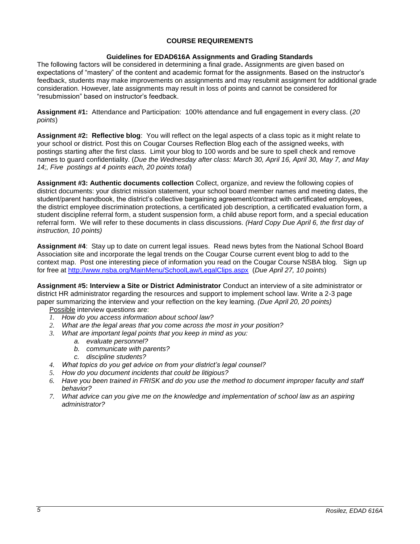# **COURSE REQUIREMENTS**

# **Guidelines for EDAD616A Assignments and Grading Standards**

The following factors will be considered in determining a final grade**.** Assignments are given based on expectations of "mastery" of the content and academic format for the assignments. Based on the instructor's feedback, students may make improvements on assignments and may resubmit assignment for additional grade consideration. However, late assignments may result in loss of points and cannot be considered for "resubmission" based on instructor's feedback.

**Assignment #1:** Attendance and Participation: 100% attendance and full engagement in every class. (*20 points*)

**Assignment #2: Reflective blog**: You will reflect on the legal aspects of a class topic as it might relate to your school or district. Post this on Cougar Courses Reflection Blog each of the assigned weeks, with postings starting after the first class. Limit your blog to 100 words and be sure to spell check and remove names to guard confidentiality. (*Due the Wednesday after class: March 30, April 16, April 30, May 7, and May 14;, Five postings at 4 points each, 20 points total*)

**Assignment #3: Authentic documents collection** Collect, organize, and review the following copies of district documents: your district mission statement, your school board member names and meeting dates, the student/parent handbook, the district's collective bargaining agreement/contract with certificated employees, the district employee discrimination protections, a certificated job description, a certificated evaluation form, a student discipline referral form, a student suspension form, a child abuse report form, and a special education referral form. We will refer to these documents in class discussions. *(Hard Copy Due April 6, the first day of instruction, 10 points)*

**Assignment #4**: Stay up to date on current legal issues. Read news bytes from the National School Board Association site and incorporate the legal trends on the Cougar Course current event blog to add to the context map. Post one interesting piece of information you read on the Cougar Course NSBA blog. Sign up for free at<http://www.nsba.org/MainMenu/SchoolLaw/LegalClips.aspx>(*Due April 27, 10 points*)

**Assignment #5: Interview a Site or District Administrator** Conduct an interview of a site administrator or district HR administrator regarding the resources and support to implement school law. Write a 2-3 page paper summarizing the interview and your reflection on the key learning. *(Due April 20, 20 points)*

Possible interview questions are:

- *1. How do you access information about school law?*
- *2. What are the legal areas that you come across the most in your position?*
- *3. What are important legal points that you keep in mind as you:*
	- *a. evaluate personnel?*
	- *b. communicate with parents?*
	- *c. discipline students?*
- *4. What topics do you get advice on from your district's legal counsel?*
- *5. How do you document incidents that could be litigious?*
- *6. Have you been trained in FRISK and do you use the method to document improper faculty and staff behavior?*
- *7. What advice can you give me on the knowledge and implementation of school law as an aspiring administrator?*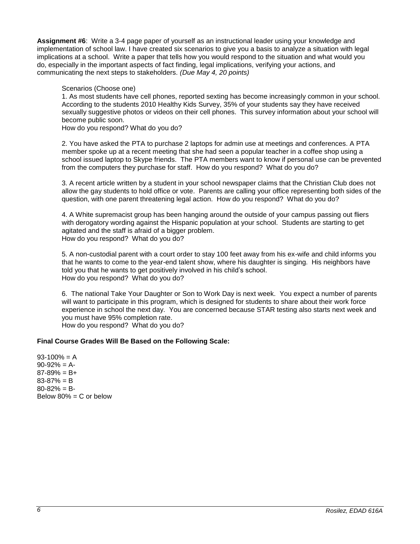**Assignment #6**: Write a 3-4 page paper of yourself as an instructional leader using your knowledge and implementation of school law. I have created six scenarios to give you a basis to analyze a situation with legal implications at a school. Write a paper that tells how you would respond to the situation and what would you do, especially in the important aspects of fact finding, legal implications, verifying your actions, and communicating the next steps to stakeholders. *(Due May 4, 20 points)*

Scenarios (Choose one)

1. As most students have cell phones, reported sexting has become increasingly common in your school. According to the students 2010 Healthy Kids Survey, 35% of your students say they have received sexually suggestive photos or videos on their cell phones. This survey information about your school will become public soon.

How do you respond? What do you do?

2. You have asked the PTA to purchase 2 laptops for admin use at meetings and conferences. A PTA member spoke up at a recent meeting that she had seen a popular teacher in a coffee shop using a school issued laptop to Skype friends. The PTA members want to know if personal use can be prevented from the computers they purchase for staff. How do you respond? What do you do?

3. A recent article written by a student in your school newspaper claims that the Christian Club does not allow the gay students to hold office or vote. Parents are calling your office representing both sides of the question, with one parent threatening legal action. How do you respond? What do you do?

4. A White supremacist group has been hanging around the outside of your campus passing out fliers with derogatory wording against the Hispanic population at your school. Students are starting to get agitated and the staff is afraid of a bigger problem. How do you respond? What do you do?

5. A non-custodial parent with a court order to stay 100 feet away from his ex-wife and child informs you that he wants to come to the year-end talent show, where his daughter is singing. His neighbors have told you that he wants to get positively involved in his child's school. How do you respond? What do you do?

6. The national Take Your Daughter or Son to Work Day is next week. You expect a number of parents will want to participate in this program, which is designed for students to share about their work force experience in school the next day. You are concerned because STAR testing also starts next week and you must have 95% completion rate. How do you respond? What do you do?

# **Final Course Grades Will Be Based on the Following Scale:**

 $93-100% = A$  $90-92% = A$  $87-89% = B+$  $83 - 87% = B$  $80 - 82\% = B$ Below  $80\% = C$  or below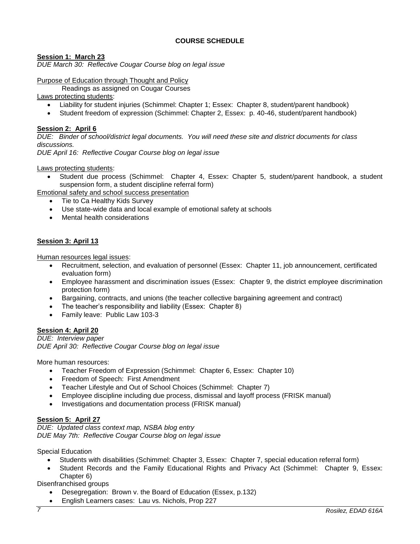# **COURSE SCHEDULE**

# **Session 1: March 23**

*DUE March 30: Reflective Cougar Course blog on legal issue*

Purpose of Education through Thought and Policy

Readings as assigned on Cougar Courses

Laws protecting students:

- Liability for student injuries (Schimmel: Chapter 1; Essex: Chapter 8, student/parent handbook)
- Student freedom of expression (Schimmel: Chapter 2, Essex: p. 40-46, student/parent handbook)

# **Session 2: April 6**

*DUE: Binder of school/district legal documents. You will need these site and district documents for class discussions.*

*DUE April 16: Reflective Cougar Course blog on legal issue*

Laws protecting students:

 Student due process (Schimmel: Chapter 4, Essex: Chapter 5, student/parent handbook, a student suspension form, a student discipline referral form)

Emotional safety and school success presentation

- Tie to Ca Healthy Kids Survey
- Use state-wide data and local example of emotional safety at schools
- Mental health considerations

# **Session 3: April 13**

Human resources legal issues:

- Recruitment, selection, and evaluation of personnel (Essex: Chapter 11, job announcement, certificated evaluation form)
- Employee harassment and discrimination issues (Essex: Chapter 9, the district employee discrimination protection form)
- Bargaining, contracts, and unions (the teacher collective bargaining agreement and contract)
- The teacher's responsibility and liability (Essex: Chapter 8)
- Family leave: Public Law 103-3

### **Session 4: April 20**

*DUE: Interview paper DUE April 30: Reflective Cougar Course blog on legal issue*

More human resources:

- Teacher Freedom of Expression (Schimmel: Chapter 6, Essex: Chapter 10)
- Freedom of Speech: First Amendment
- Teacher Lifestyle and Out of School Choices (Schimmel: Chapter 7)
- Employee discipline including due process, dismissal and layoff process (FRISK manual)
- Investigations and documentation process (FRISK manual)

### **Session 5: April 27**

*DUE: Updated class context map, NSBA blog entry DUE May 7th: Reflective Cougar Course blog on legal issue*

Special Education

- Students with disabilities (Schimmel: Chapter 3, Essex: Chapter 7, special education referral form)
- Student Records and the Family Educational Rights and Privacy Act (Schimmel: Chapter 9, Essex: Chapter 6)

Disenfranchised groups

- Desegregation: Brown v. the Board of Education (Essex, p.132)
- English Learners cases: Lau vs. Nichols, Prop 227